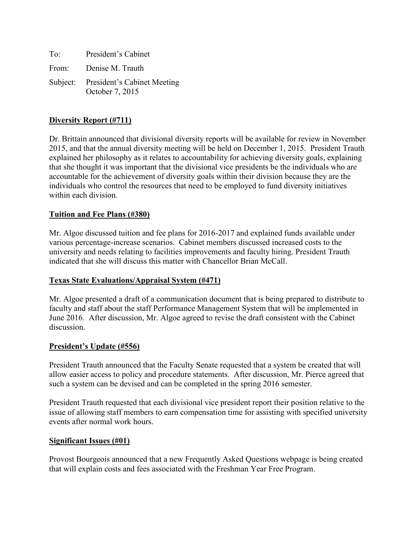To: President's Cabinet From: Denise M. Trauth Subject: President's Cabinet Meeting October 7, 2015

## **Diversity Report (#711)**

Dr. Brittain announced that divisional diversity reports will be available for review in November 2015, and that the annual diversity meeting will be held on December 1, 2015. President Trauth explained her philosophy as it relates to accountability for achieving diversity goals, explaining that she thought it was important that the divisional vice presidents be the individuals who are accountable for the achievement of diversity goals within their division because they are the individuals who control the resources that need to be employed to fund diversity initiatives within each division.

### **Tuition and Fee Plans (#380)**

Mr. Algoe discussed tuition and fee plans for 2016-2017 and explained funds available under various percentage-increase scenarios. Cabinet members discussed increased costs to the university and needs relating to facilities improvements and faculty hiring. President Trauth indicated that she will discuss this matter with Chancellor Brian McCall.

### **Texas State Evaluations/Appraisal System (#471)**

Mr. Algoe presented a draft of a communication document that is being prepared to distribute to faculty and staff about the staff Performance Management System that will be implemented in June 2016. After discussion, Mr. Algoe agreed to revise the draft consistent with the Cabinet discussion.

### **President's Update (#556)**

President Trauth announced that the Faculty Senate requested that a system be created that will allow easier access to policy and procedure statements. After discussion, Mr. Pierce agreed that such a system can be devised and can be completed in the spring 2016 semester.

President Trauth requested that each divisional vice president report their position relative to the issue of allowing staff members to earn compensation time for assisting with specified university events after normal work hours.

### **Significant Issues (#01)**

Provost Bourgeois announced that a new Frequently Asked Questions webpage is being created that will explain costs and fees associated with the Freshman Year Free Program.